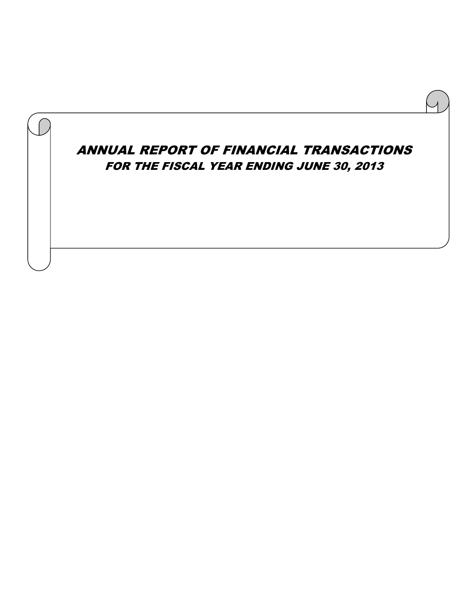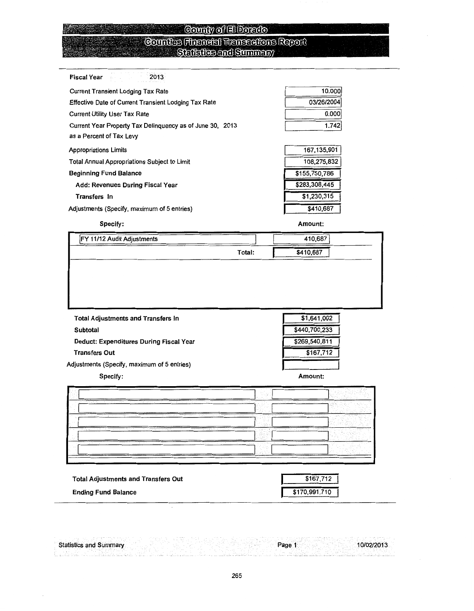#### County of El Dorado

#### **Counties Financial Transactions Report** Statistics and Summary

| Fiscal Year<br>-2013                                      |               |
|-----------------------------------------------------------|---------------|
| <b>Current Transient Lodging Tax Rate</b>                 | 10.000        |
| Effective Date of Current Transient Lodging Tax Rate      | 03/26/2004    |
| Current Utility User Tax Rate                             | 0.000         |
| Current Year Property Tax Delinguency as of June 30, 2013 | 1.742         |
| as a Percent of Tax Levy                                  |               |
| <b>Appropriations Limits</b>                              | 167,135,901   |
| Total Annual Appropriations Subject to Limit              | 108,275,832   |
| Beginning Fund Balance                                    | \$155,750,786 |
| Add: Revenues During Fiscal Year                          | \$283,308,445 |
| Transfers In                                              | \$1,230,315   |

Adjustments (Specify, maximum of 5 entries)

#### Specify:

**BRACK** 

Amount:

\$410,687

|        | 410,687   |  |
|--------|-----------|--|
| Total: | \$410,687 |  |
|        |           |  |
|        |           |  |
|        |           |  |
|        |           |  |

**Total Adjustments and Transfers In** Subtotal Deduct: Expenditures During Fiscal Year **Transfers Out** Adjustments (Specify, maximum of 5 entries)

Specify:

Amount:

\$1,641,002

\$440,700,233

\$269,540,811

 $$167,712$ 

|                                                                                                                                                                                                                                                                                | aut.<br>To Ch<br>-17 -<br>Alberta Mar<br><b>CONTRACTOR</b>                                                                                                  | the contract of the contract of the<br>11,117,89<br>a Trade<br>11.10<br>ins porti<br>value of the<br>26th<br>The Contract<br>y Para in                                                                                                                                                                                                                                                     |
|--------------------------------------------------------------------------------------------------------------------------------------------------------------------------------------------------------------------------------------------------------------------------------|-------------------------------------------------------------------------------------------------------------------------------------------------------------|--------------------------------------------------------------------------------------------------------------------------------------------------------------------------------------------------------------------------------------------------------------------------------------------------------------------------------------------------------------------------------------------|
| un medium fill<br>attended to the control of the sec-<br>the complete state of the special<br>ALC: NUMBER<br>contract of the                                                                                                                                                   | the complete and the complete state of<br>in Tradition of<br>10.10.00<br><b>STATE</b>                                                                       | $\sim$<br>110 191<br>attached                                                                                                                                                                                                                                                                                                                                                              |
| ਰ ਸਿੰਘ ਸਾ<br>$\sim 7$<br>32.7<br>The Contract<br>$\sim$<br>.<br>1.000<br>$\cdots \cdots \cdots$<br>The State State                                                                                                                                                             | Automotive Research<br><b>PERMIT WAS SAFEKEEPING</b><br>the state of<br><b>Contract Contract</b><br>The Color<br>.<br>miggin.                               | San France<br>.<br>TRIP STATISTICS.<br>car i c<br>11.000<br>.                                                                                                                                                                                                                                                                                                                              |
| The company of the second company<br>The company of the company of the company of the company of the company of the company of the company of the company of the company of the company of the company of the company of the company of the company of the company<br>$\cdots$ | and the participants in contract of the contract of the response proposed on<br>2an                                                                         | a katika tanggal sa sa kalawatan ng Kabupatèn Kabupatèn<br><b>COLLECTION</b><br><br>어디에서<br>. .<br>$\sim$<br>-12.26 - 21                                                                                                                                                                                                                                                                   |
| ____<br>- - - -<br>TERRITORY CONTROL<br>$\sim$<br>and the first<br><b>STATE</b>                                                                                                                                                                                                | 100000<br>the continuation of a fact officer and con-<br><b>Contract Contract Contract</b><br>and the state of the state<br>.<br><b>COLLEGE</b><br>The same | the contract of the contract of the<br>Turk of<br>113<br>The Council of<br>-----<br>-99-90<br>a na Tauru<br>$\sim$ $\sim$<br>the company's company's<br><br>the contract of the contract of the contract of the contract of the contract of the contract of the contract of the contract of the contract of the contract of the contract of the contract of the contract of the contract o |

**Total Adjustments and Transfers Out Ending Fund Balance** 

| \$167.712     |  |
|---------------|--|
| \$170,991,710 |  |

10/02/2013

Page

**Statistics and Summary**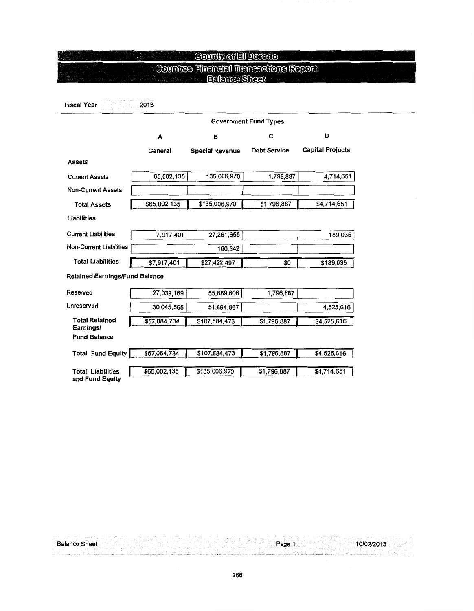### **County of El Dorado**

## **Counties Financial Transactions Report**<br>Exismes Sinat

**Fiscal Year** 2013 38 정문의

|                                       | <b>Government Fund Types</b> |                        |                     |                         |  |  |  |  |  |  |  |
|---------------------------------------|------------------------------|------------------------|---------------------|-------------------------|--|--|--|--|--|--|--|
|                                       | A                            | в                      | С                   | D                       |  |  |  |  |  |  |  |
|                                       | General                      | <b>Special Revenue</b> | <b>Debt Service</b> | <b>Capital Projects</b> |  |  |  |  |  |  |  |
| <b>Assets</b>                         |                              |                        |                     |                         |  |  |  |  |  |  |  |
| <b>Current Assets</b>                 | 65,002,135                   | 135,006,970            | 1,796,887           | 4,714,651               |  |  |  |  |  |  |  |
| <b>Non-Current Assets</b>             |                              |                        |                     |                         |  |  |  |  |  |  |  |
| <b>Total Assets</b>                   | \$65,002,135                 | \$135,006,970          | \$1,796,887         | \$4,714,651             |  |  |  |  |  |  |  |
| Liabilities                           |                              |                        |                     |                         |  |  |  |  |  |  |  |
| <b>Current Liabilities</b>            | 7,917,401                    | 27,261,655             |                     | 189,035                 |  |  |  |  |  |  |  |
| <b>Non-Current Liabilities</b>        |                              | 160,842                |                     |                         |  |  |  |  |  |  |  |
| <b>Total Liabilities</b>              | \$7,917,401                  | \$27,422,497           | \$0                 | \$189,035               |  |  |  |  |  |  |  |
| <b>Retained Earnings/Fund Balance</b> |                              |                        |                     |                         |  |  |  |  |  |  |  |
| Reserved                              | 27,039,169                   | 55,889,606             | 1,796,887           |                         |  |  |  |  |  |  |  |
| Unreserved                            | 30,045,565                   | 51,694,867             |                     | 4,525,616               |  |  |  |  |  |  |  |
| <b>Total Retained</b><br>Earnings/    | \$57,084,734                 | \$107,584,473          | \$1,796,887         | \$4,525,616             |  |  |  |  |  |  |  |
| <b>Fund Balance</b>                   |                              |                        |                     |                         |  |  |  |  |  |  |  |
| <b>Total Fund Equity</b>              | \$57,084,734                 | \$107,584,473          | \$1,796,887         | \$4,525,616             |  |  |  |  |  |  |  |
| <b>Total Liabilities</b>              | \$65,002,135                 | \$135,006,970          | \$1,796,887         | \$4,714,651             |  |  |  |  |  |  |  |
| and Fund Equity                       |                              |                        |                     |                         |  |  |  |  |  |  |  |

**Balance Sheet** 

Page 1

10/02/2013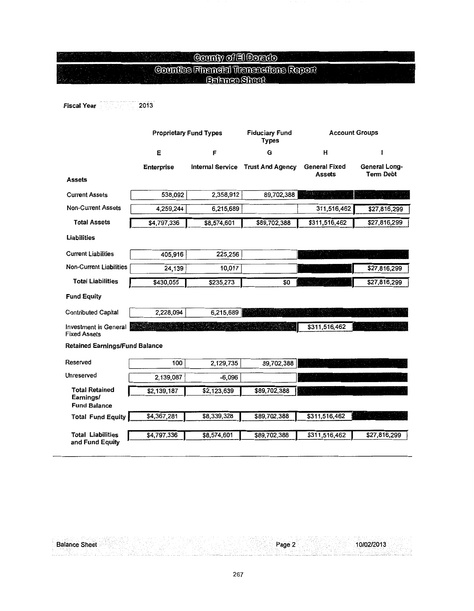#### **County of El Dorado**  $\odot$ ounties Financial Transactions Report Dalah SJ QH555

#### 2013 Fiscal Year 1 martin yn y

**Balance Sheet** 

|                                                           | <b>Proprietary Fund Types</b> |                         | <b>Fiduciary Fund</b><br><b>Types</b> | <b>Account Groups</b>                 |                                          |  |  |  |
|-----------------------------------------------------------|-------------------------------|-------------------------|---------------------------------------|---------------------------------------|------------------------------------------|--|--|--|
|                                                           | Ε                             | F                       | G                                     | н                                     | 1                                        |  |  |  |
|                                                           | <b>Enterprise</b>             | <b>Internal Service</b> | <b>Trust And Agency</b>               | <b>General Fixed</b><br><b>Assets</b> | <b>General Long-</b><br><b>Term Debt</b> |  |  |  |
| <b>Assets</b>                                             |                               |                         |                                       |                                       |                                          |  |  |  |
| <b>Current Assets</b>                                     | 538,092                       | 2,358,912               | 89,702,388                            | di se provenski                       | 만난 공격                                    |  |  |  |
| <b>Non-Current Assets</b>                                 | 4,259,244                     | 6,215,689               |                                       | 311,516,462                           | \$27,816,299                             |  |  |  |
| <b>Total Assets</b>                                       | \$4,797,336                   | \$8,574,601             | \$89,702,388                          | \$311,516,462                         | \$27,816,299                             |  |  |  |
| Liabilities                                               |                               |                         |                                       |                                       |                                          |  |  |  |
| <b>Current Liabilities</b>                                | 405,916                       | 225,256                 |                                       |                                       | لتي                                      |  |  |  |
| <b>Non-Current Liabilities</b>                            | 24,139                        | 10,017                  |                                       |                                       | \$27,816,299                             |  |  |  |
| <b>Total Liabilities</b>                                  | \$430,055                     | \$235,273               | \$0                                   |                                       | \$27,816,299                             |  |  |  |
| <b>Fund Equity</b>                                        |                               |                         |                                       |                                       |                                          |  |  |  |
| <b>Contributed Capital</b>                                | 2,228,094                     | 6,215,689               |                                       |                                       |                                          |  |  |  |
| <b>Investment in General</b><br><b>Fixed Assets</b>       |                               |                         |                                       | \$311,516,462                         |                                          |  |  |  |
| <b>Retained Earnings/Fund Balance</b>                     |                               |                         |                                       |                                       |                                          |  |  |  |
| Reserved                                                  | 100                           | 2,129,735               | 89,702,388                            |                                       |                                          |  |  |  |
| Unreserved                                                | 2,139,087                     | $-6,096$                |                                       |                                       |                                          |  |  |  |
| <b>Total Retained</b><br>Earnings/<br><b>Fund Balance</b> | \$2,139,187                   | \$2,123,639             | \$89,702,388                          |                                       |                                          |  |  |  |
| <b>Total Fund Equity</b>                                  | \$4,367,281                   | \$8,339,328             | \$89,702,388                          | \$311,516,462                         |                                          |  |  |  |
| <b>Total Liabilities</b><br>and Fund Equity               | \$4,797,336                   | \$8,574,601             | \$89,702,388                          | \$311,516,462                         | \$27,816,299                             |  |  |  |

Page 2

10/02/2013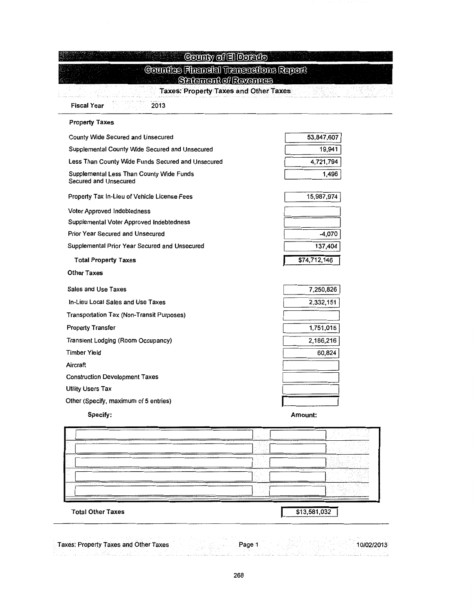| <b>Fiscal Year</b><br>2013                                        | <b>Taxes: Property Taxes and Other Taxes</b> |
|-------------------------------------------------------------------|----------------------------------------------|
| <b>Property Taxes</b>                                             |                                              |
| County Wide Secured and Unsecured                                 | 53,847,607                                   |
| Supplemental County Wide Secured and Unsecured                    | 19,941                                       |
| Less Than County Wide Funds Secured and Unsecured                 | 4,721,794                                    |
| Supplemental Less Than County Wide Funds<br>Secured and Unsecured | 1,496                                        |
| Property Tax In-Lieu of Vehicle License Fees                      | 15,987,974                                   |
| <b>Voter Approved Indebtedness</b>                                |                                              |
| Supplemental Voter Approved Indebtedness                          |                                              |
| Prior Year Secured and Unsecured                                  | -4,070                                       |
| Supplemental Prior Year Secured and Unsecured                     | 137,404                                      |
| <b>Total Property Taxes</b>                                       | \$74,712,146                                 |
| <b>Other Taxes</b>                                                |                                              |
| <b>Sales and Use Taxes</b>                                        | 7,250,826                                    |
| In-Lieu Local Sales and Use Taxes                                 | 2,332,151                                    |
| Transportation Tax (Non-Transit Purposes)                         |                                              |
| <b>Property Transfer</b>                                          | 1,751,015                                    |
| Transient Lodging (Room Occupancy)                                | 2,186,216                                    |
| <b>Timber Yield</b>                                               | 60,824                                       |
| Aircraft                                                          |                                              |
| <b>Construction Development Taxes</b>                             |                                              |
| <b>Utility Users Tax</b>                                          |                                              |
| Other (Specify, maximum of 5 entries)                             |                                              |
| Specify:                                                          | Amount:                                      |
|                                                                   |                                              |
|                                                                   |                                              |
|                                                                   |                                              |
|                                                                   |                                              |
|                                                                   |                                              |
|                                                                   | \$13,581,032                                 |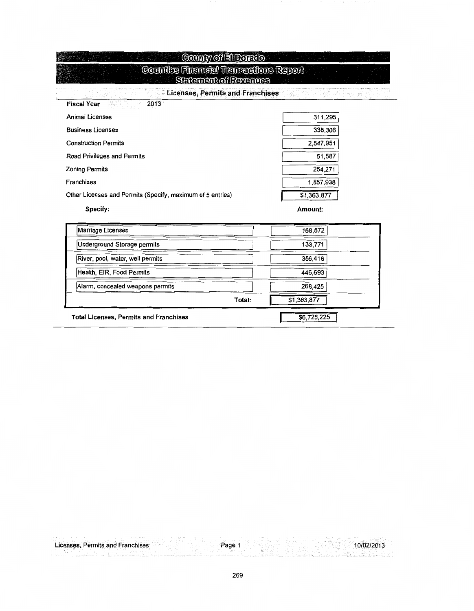| County of El Dorato                                                   |             |
|-----------------------------------------------------------------------|-------------|
| <b>Counties Financial Transactions Report</b><br>Setement of Revenues |             |
| <b>Licenses, Permits and Franchises</b>                               |             |
| <b>Fiscal Year</b><br>2013                                            |             |
| Animal Licenses                                                       | 311,295     |
| <b>Business Licenses</b>                                              | 338,306     |
| <b>Construction Permits</b>                                           | 2,547,951   |
| Road Privileges and Permits                                           | 51,587      |
| <b>Zoning Permits</b>                                                 | 254,271     |
| Franchises                                                            | 1,857,938   |
| Other Licenses and Permits (Specify, maximum of 5 entries)            | \$1,363,877 |
| Specify:                                                              | Amount:     |
| Marriage Licenses                                                     | 158,572     |
| Underground Storage permits                                           | 133,771     |
| River, pool, water, well permits                                      | 356,416     |
| Health, EIR, Food Permits                                             | 446,693     |
| Alarm, concealed weapons permits                                      | 268,425     |

D

 $\overline{L}$ 

Total:

\$1,363,877

 $$6,725,225$ 

| <b>Total Licenses, Permits and Franchises</b> |  |  |
|-----------------------------------------------|--|--|

|  | Licenses, Permits and Franchises | Page |  |  |
|--|----------------------------------|------|--|--|
|  |                                  |      |  |  |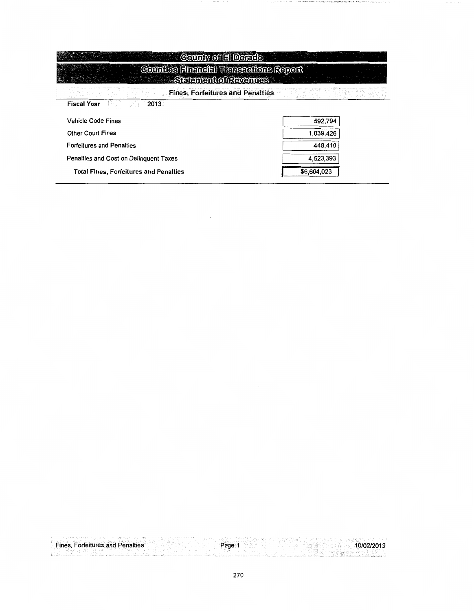| County of El Dorado                                                           |             |  |  |  |  |  |  |  |
|-------------------------------------------------------------------------------|-------------|--|--|--|--|--|--|--|
| <b>Counties Financial Transactions Report</b><br><b>Statement of Revenues</b> |             |  |  |  |  |  |  |  |
| <b>Fines, Forfeitures and Penalties</b>                                       |             |  |  |  |  |  |  |  |
| <b>Fiscal Year</b><br>2013                                                    |             |  |  |  |  |  |  |  |
| <b>Vehicle Code Fines</b>                                                     | 592,794     |  |  |  |  |  |  |  |
| <b>Other Court Fines</b>                                                      | 1,039,426   |  |  |  |  |  |  |  |
| <b>Forfeitures and Penalties</b>                                              | 448,410     |  |  |  |  |  |  |  |
| Penalties and Cost on Delinguent Taxes                                        | 4,523,393   |  |  |  |  |  |  |  |
| <b>Total Fines, Forfeitures and Penalties</b>                                 | \$6,604,023 |  |  |  |  |  |  |  |

 $\mathcal{L}(\mathcal{A})$  and  $\mathcal{L}(\mathcal{A})$ 

the state of the state of the country and an

|  |  | <b>Fines, Forfeitures and Penalties</b> |  |  | Page 1 |  |  |  | 10/02/2013 |
|--|--|-----------------------------------------|--|--|--------|--|--|--|------------|
|  |  |                                         |  |  |        |  |  |  |            |
|  |  |                                         |  |  |        |  |  |  |            |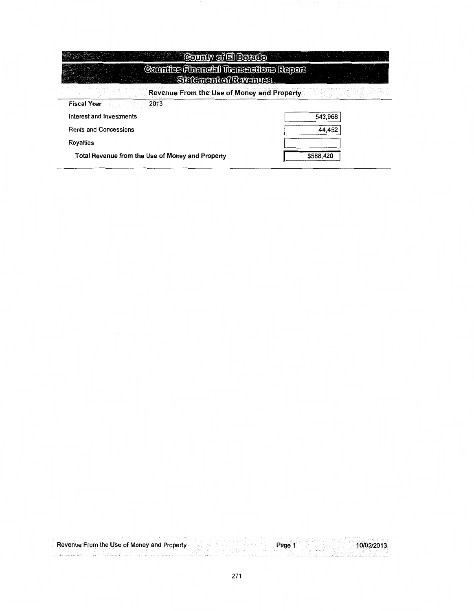| County of El Dorado                                                           |           |
|-------------------------------------------------------------------------------|-----------|
| <b>Counties Financial Transcotions Report</b><br><b>Statement of Revenues</b> |           |
| Revenue From the Use of Money and Property                                    |           |
| 2013<br><b>Fiscal Year</b>                                                    |           |
| Interest and Investments                                                      | 543,968   |
| <b>Rents and Concessions</b>                                                  | 44,452    |
| Rovalties                                                                     |           |
| Total Revenue from the Use of Money and Property                              | \$588,420 |

10/02/2013 Page 1 Revenue From the Use of Money and Property 浅绿 a matalanggal na الأسادا i.

 $\bar{\phantom{a}}$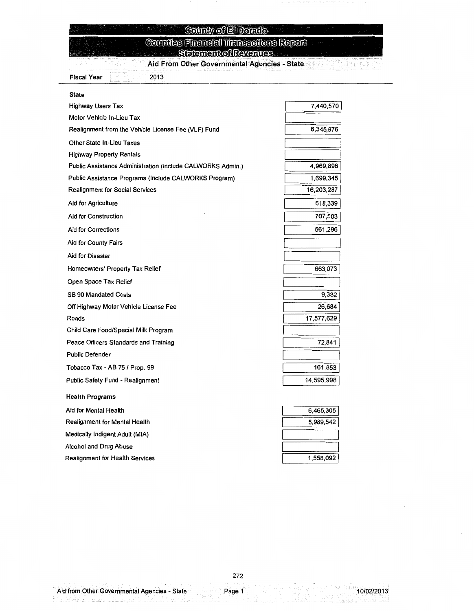## County of El Dorado

#### **Countes Financial Transactions Report** Statement of Revenues

Aid From Other Governmental Agencies - State

**Fiscal Year** 2013

| State                                                      |            |
|------------------------------------------------------------|------------|
| <b>Highway Users Tax</b>                                   | 7,440,570  |
| Motor Vehicle In-Lieu Tax                                  |            |
| Realignment from the Vehicle License Fee (VLF) Fund        | 6,345,976  |
| Other State In-Lieu Taxes                                  |            |
| <b>Highway Property Rentals</b>                            |            |
| Public Assistance Administration (Include CALWORKS Admin.) | 4,969,896  |
| Public Assistance Programs (Include CALWORKS Program)      | 1,699,345  |
| <b>Realignment for Social Services</b>                     | 16,203,287 |
| Aid for Agriculture                                        | 618,339    |
| Aid for Construction                                       | 707,503    |
| <b>Aid for Corrections</b>                                 | 561,296    |
| Aid for County Fairs                                       |            |
| Aid for Disaster                                           |            |
| Homeowners' Property Tax Relief                            | 663,073    |
| Open Space Tax Relief                                      |            |
| <b>SB 90 Mandated Costs</b>                                | 9,332      |
| Off Highway Motor Vehicle License Fee                      | 26,684     |
| Roads                                                      | 17,577,629 |
| Child Care Food/Special Milk Program                       |            |
| Peace Officers Standards and Training                      | 72,841     |
| <b>Public Defender</b>                                     |            |
| Tobacco Tax - AB 75 / Prop. 99                             | 161,853    |
| Public Safety Fund - Realignment                           | 14,595,998 |
| <b>Health Programs</b>                                     |            |
| Aid for Mental Health                                      | 6,465,305  |
| Realignment for Mental Health                              | 5,989,542  |
| Medically Indigent Adult (MIA)                             |            |
| Alcohol and Drug Abuse                                     |            |
| Realignment for Health Services                            | 1,558,092  |

stangên, B

Page 1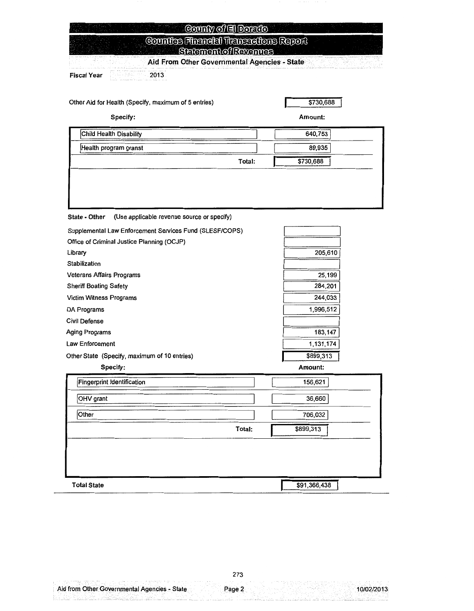| County of El Dorado                                                    |           |
|------------------------------------------------------------------------|-----------|
| Counties Financial Transactions Report<br><b>Statement of Revenues</b> |           |
| Aid From Other Governmental Agencies - State                           |           |
| <b>Fiscal Year</b><br>2013 - 2013                                      |           |
| Other Aid for Health (Specify, maximum of 5 entries)                   | \$730,688 |
| Specify:                                                               | Amount:   |
| Child Health Disability                                                | 640.753   |

| Health program granst |        | 89,935    |
|-----------------------|--------|-----------|
|                       | Total: | \$730,688 |
|                       |        |           |
|                       |        |           |

State - Other (Use applicable revenue source or specify)

| Supplemental Law Enforcement Services Fund (SLESF/COPS) |        |              |
|---------------------------------------------------------|--------|--------------|
| Office of Criminal Justice Planning (OCJP)              |        |              |
| Library                                                 |        | 205,610      |
| Stabilization                                           |        |              |
| Veterans Affairs Programs                               |        | 25,199       |
| <b>Sheriff Boating Safety</b>                           |        | 284,201      |
| Victim Witness Programs                                 |        | 244,033      |
| DA Programs                                             |        | 1,996,512    |
| <b>Civil Defense</b>                                    |        |              |
| Aging Programs                                          |        | 183,147      |
| Law Enforcement                                         |        | 1,131,174    |
| Other State (Specify, maximum of 10 entries)            |        | \$899,313    |
| Specify:                                                |        | Amount:      |
| <b>Fingerprint Identification</b>                       |        | 156,621      |
| OHV grant                                               |        | 36,660       |
| Other                                                   |        | 706,032      |
|                                                         | Total: | \$899,313    |
|                                                         |        |              |
| <b>Total State</b>                                      |        | \$91,366,438 |

Page 2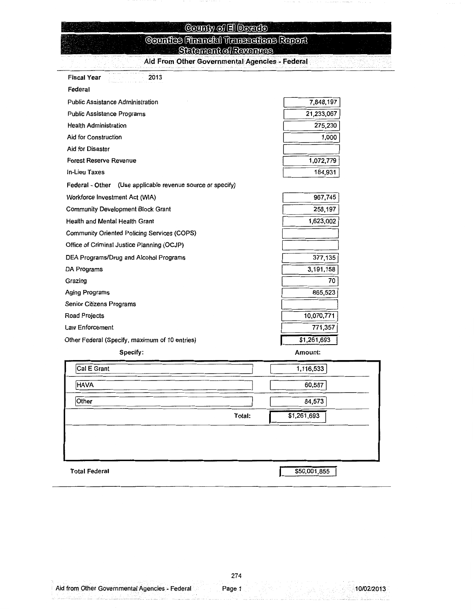#### County of El Dorado Counties Financial Transactions Report **Statement of Revenues**

Aid From Other Governmental Agencies - Federal

| 89 M<br><b>Fiscal Year</b><br>2013                         |             |
|------------------------------------------------------------|-------------|
| Federal                                                    |             |
| <b>Public Assistance Administration</b>                    | 7,848,197   |
| Public Assistance Programs                                 | 21,233,067  |
| <b>Health Administration</b>                               | 275,230     |
| Aid for Construction                                       | 1,000       |
| Aid for Disaster                                           |             |
| Forest Reserve Revenue                                     | 1,072,779   |
| <b>In-Lieu Taxes</b>                                       | 184,931     |
| Federal - Other (Use applicable revenue source or specify) |             |
| Workforce Investment Act (WIA)                             | 967,745     |
| <b>Community Development Block Grant</b>                   | 258,197     |
| Health and Mental Health Grant                             | 1,623,002   |
| Community Oriented Policing Services (COPS)                |             |
| Office of Criminal Justice Planning (OCJP)                 |             |
| DEA Programs/Drug and Alcohol Programs                     | 377,135     |
| DA Programs                                                | 3,191,158   |
| Grazing                                                    | 70          |
| Aging Programs                                             | 865,523     |
| Senior Citizens Programs                                   |             |
| Road Projects                                              | 10,070,771  |
| Law Enforcement                                            | 771,357     |
| Other Federal (Specify, maximum of 10 entries)             | \$1,261,693 |

Specify:

Amount:

| Cal E Grant          |        | 1,116,533    |
|----------------------|--------|--------------|
| <b>HAVA</b>          |        | 60,587       |
| Other                |        | 84,573       |
|                      | Total: | \$1,261,693  |
|                      |        |              |
|                      |        |              |
|                      |        |              |
| <b>Total Federal</b> |        | \$50,001,855 |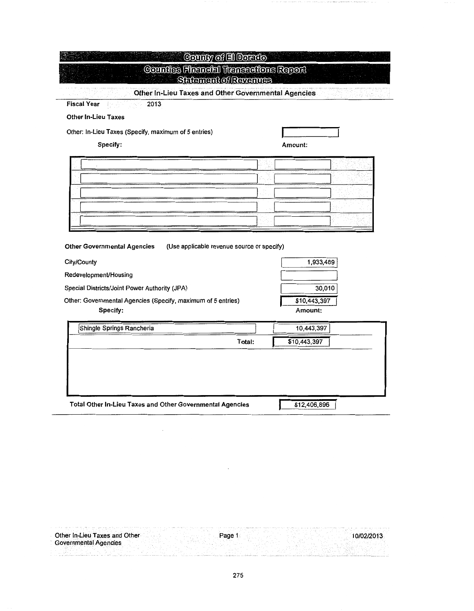| <b>Fiscal Year</b><br>2013                                                                      |         |                         |
|-------------------------------------------------------------------------------------------------|---------|-------------------------|
| <b>Other In-Lieu Taxes</b>                                                                      |         |                         |
| Other: In-Lieu Taxes (Specify, maximum of 5 entries)                                            |         |                         |
| Specify:                                                                                        | Amount: |                         |
|                                                                                                 |         |                         |
|                                                                                                 |         |                         |
|                                                                                                 |         |                         |
|                                                                                                 |         |                         |
|                                                                                                 |         |                         |
|                                                                                                 |         |                         |
| <b>Other Governmental Agencies</b><br>(Use applicable revenue source or specify)<br>City/County |         | 1,933,489               |
| Redevelopment/Housing                                                                           |         |                         |
| Special Districts/Joint Power Authority (JPA)                                                   |         | 30,010                  |
| Other: Governmental Agencies (Specify, maximum of 5 entries)<br>Specify:                        |         | \$10,443,397<br>Amount: |
| Shingle Springs Rancheria                                                                       |         | 10,443,397              |
|                                                                                                 | Total:  | \$10,443,397            |

 $\ddot{\phantom{0}}$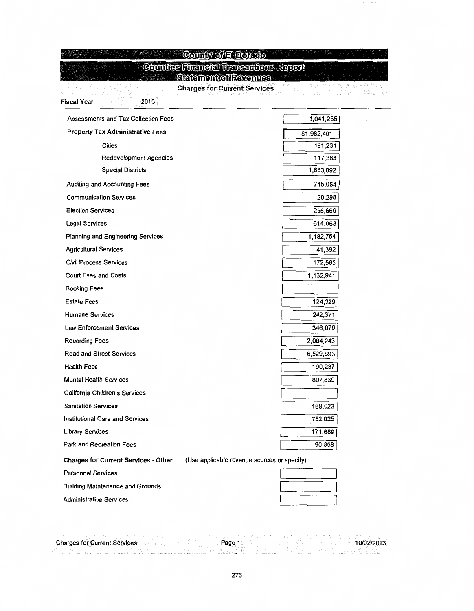#### **County of El Dorado**

#### **Counties Financial Transactions Report**

Salamantofkavanus

**Charges for Current Services** 

de l'altre l'angles de l'altre del partiet de l'altre de l'altre de l'altre de l'altre de l'altre de<br>L'altre de l'altre de l'altre de l'altre de l'altre de l'altre de l'altre de l'altre de l'altre de l'altre de

| <b>Assessments and Tax Collection Fees</b>                                                 | 1,041,235   |
|--------------------------------------------------------------------------------------------|-------------|
| <b>Property Tax Administrative Fees</b>                                                    | \$1,982,491 |
| <b>Cities</b>                                                                              | 181,231     |
| <b>Redevelopment Agencies</b>                                                              | 117,368     |
| <b>Special Districts</b>                                                                   | 1,683,892   |
| Auditing and Accounting Fees                                                               | 745,054     |
| <b>Communication Services</b>                                                              | 20,298      |
| <b>Election Services</b>                                                                   | 235,669     |
| Legal Services                                                                             | 614,063     |
| Planning and Engineering Services                                                          | 1,182,754   |
| <b>Agricultural Services</b>                                                               | 41,392      |
| <b>Civil Process Services</b>                                                              | 172,565     |
| <b>Court Fees and Costs</b>                                                                | 1,132,941   |
| <b>Booking Fees</b>                                                                        |             |
| <b>Estate Fees</b>                                                                         | 124,329     |
| <b>Humane Services</b>                                                                     | 242,371     |
| <b>Law Enforcement Services</b>                                                            | 346,076     |
| <b>Recording Fees</b>                                                                      | 2,084,243   |
| Road and Street Services                                                                   | 6,529,893   |
| <b>Health Fees</b>                                                                         | 190,237     |
| <b>Mental Health Services</b>                                                              | 807,839     |
| California Children's Services                                                             |             |
| <b>Sanitation Services</b>                                                                 | 168,022     |
| <b>Institutional Care and Services</b>                                                     | 752,025     |
| <b>Library Services</b>                                                                    | 171,689     |
| Park and Recreation Fees                                                                   | 90,858      |
| <b>Charges for Current Services - Other</b><br>(Use applicable revenue sources or specify) |             |
| <b>Personnel Services</b>                                                                  |             |
| <b>Building Maintenance and Grounds</b>                                                    |             |

Administrative Services

Fiscal Year 2013

| <b>Charges for Current Services</b> |  | Page |  | 10/02/2013 |
|-------------------------------------|--|------|--|------------|
|                                     |  |      |  |            |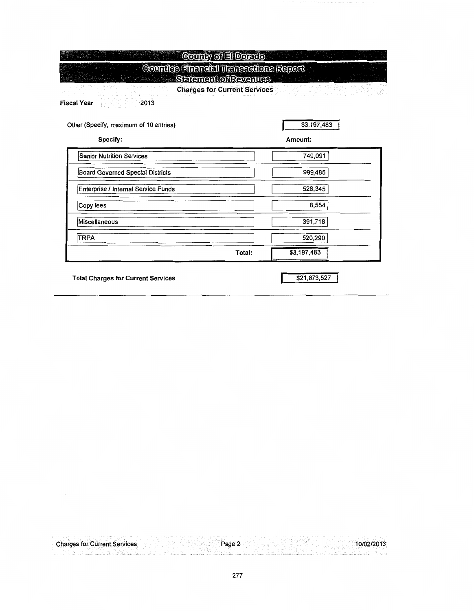| County of El Dorato                                                                              |                                                         |
|--------------------------------------------------------------------------------------------------|---------------------------------------------------------|
| <b>Counties Financial Transactions Report</b><br><b>Setement of Revenues</b><br>Fiscal Year 1999 | <b>Charges for Current Services Community Community</b> |
| Other (Specify, maximum of 10 entries)<br>Specify:                                               | \$3,197,483<br>Amount:                                  |
| <b>Senior Nutrition Services</b>                                                                 | 749,091                                                 |
| <b>Board Governed Special Districts</b>                                                          | 999,485                                                 |
| Enterprise / Internal Service Funds                                                              | 528,345                                                 |
| Copy fees                                                                                        | 8,554                                                   |
| Miscellaneous                                                                                    | 391,718                                                 |
| <b>TRPA</b>                                                                                      | 520,290                                                 |
| Total:                                                                                           | \$3,197,483                                             |

 $\mathcal{A}^{\mathcal{A}}$ 

Total Charges for Current Services **\$21,873,527** 

 $\cdot$ 

| <b>Charges for Current Services</b> |  | Page |  |
|-------------------------------------|--|------|--|
|                                     |  |      |  |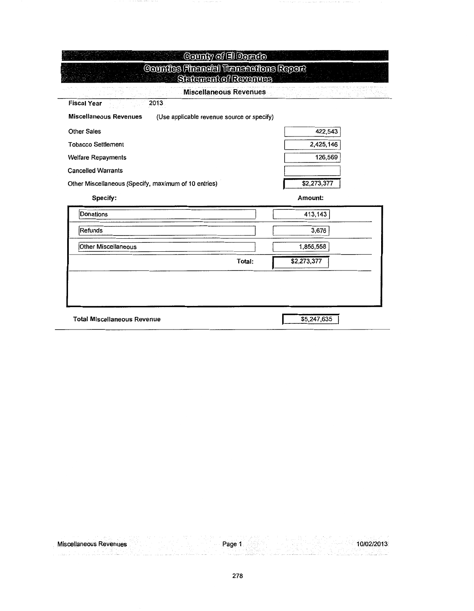| <b>Miscellaneous Revenues</b>                                               |        |             |  |
|-----------------------------------------------------------------------------|--------|-------------|--|
| <b>Fiscal Year</b><br>2013                                                  |        |             |  |
| <b>Miscellaneous Revenues</b><br>(Use applicable revenue source or specify) |        |             |  |
| <b>Other Sales</b>                                                          |        | 422,543     |  |
| <b>Tobacco Settlement</b>                                                   |        | 2,425,146   |  |
| <b>Welfare Repayments</b>                                                   |        | 126,569     |  |
| <b>Cancelled Warrants</b>                                                   |        |             |  |
| Other Miscellaneous (Specify, maximum of 10 entries)                        |        | \$2,273,377 |  |
| Specify:                                                                    |        | Amount:     |  |
| Donations                                                                   |        | 413,143     |  |
| Refunds                                                                     |        | 3,676       |  |
| Other Miscellaneous                                                         |        | 1,856,558   |  |
|                                                                             | Total: | \$2,273,377 |  |
|                                                                             |        |             |  |

| .<br>Zevenues<br>Miso<br><b>CALISBOLIS</b> |   |  |
|--------------------------------------------|---|--|
|                                            | . |  |
|                                            |   |  |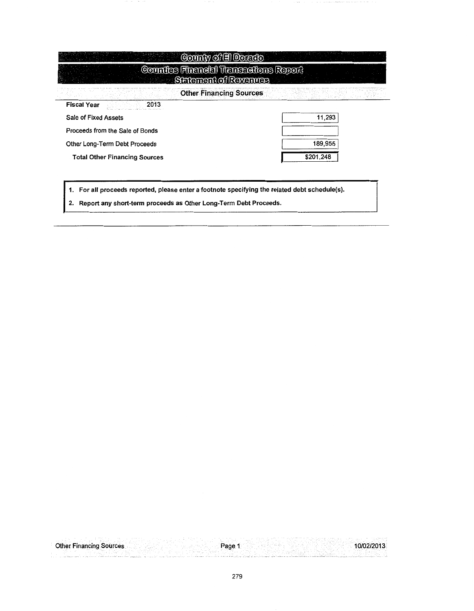|                                      | Counties Financial Transactions Report<br>Siatement of Revenues |           |
|--------------------------------------|-----------------------------------------------------------------|-----------|
|                                      | <b>Other Financing Sources</b>                                  |           |
| <b>Fiscal Year</b>                   | 2013                                                            |           |
| Sale of Fixed Assets                 |                                                                 | 11,293    |
| Proceeds from the Sale of Bonds      |                                                                 |           |
| Other Long-Term Debt Proceeds        |                                                                 | 189,955   |
| <b>Total Other Financing Sources</b> |                                                                 | \$201,248 |

1. For all proceeds reported, please enter a footnote specifying the related debt schedule(s).

2. Report any short-term proceeds as Other Long-Term Debt Proceeds.

|  | <b>Other Financing Sources</b> |  |  | Page |  |  | 7001.<br>-2015. |  |
|--|--------------------------------|--|--|------|--|--|-----------------|--|
|  | $\cdots$                       |  |  |      |  |  |                 |  |
|  |                                |  |  |      |  |  |                 |  |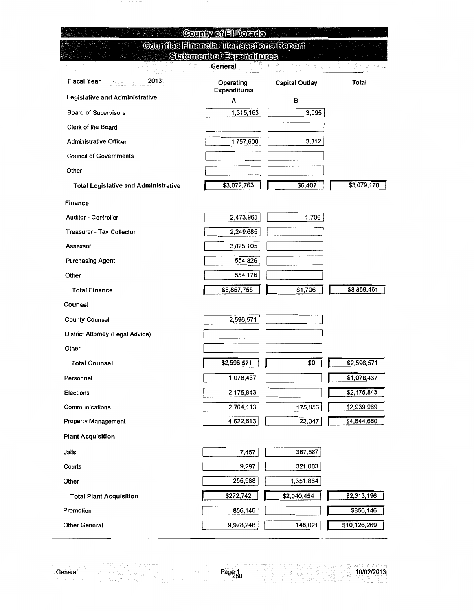| County of El Dorato                         |                                            |                       |              |  |  |  |
|---------------------------------------------|--------------------------------------------|-----------------------|--------------|--|--|--|
|                                             | Counties Financial Transactions Report     |                       |              |  |  |  |
|                                             | Setement of Expenditures<br><b>General</b> |                       |              |  |  |  |
| <b>Fiscal Year</b><br>2013                  | Operating<br><b>Expenditures</b>           | <b>Capital Outlay</b> | Total        |  |  |  |
| Legislative and Administrative              | A                                          | в                     |              |  |  |  |
| <b>Board of Supervisors</b>                 | 1,315,163                                  | 3,095                 |              |  |  |  |
| Clerk of the Board                          |                                            |                       |              |  |  |  |
| <b>Administrative Officer</b>               | 1,757,600                                  | 3,312                 |              |  |  |  |
| <b>Council of Governments</b>               |                                            |                       |              |  |  |  |
| Other                                       |                                            |                       |              |  |  |  |
| <b>Total Legislative and Administrative</b> | \$3,072,763                                | \$6,407               | \$3,079,170  |  |  |  |
| Finance                                     |                                            |                       |              |  |  |  |
| <b>Auditor - Controller</b>                 | 2,473,963                                  | 1,706                 |              |  |  |  |
| <b>Treasurer - Tax Collector</b>            | 2,249,685                                  |                       |              |  |  |  |
| Assessor                                    | 3,025,105                                  |                       |              |  |  |  |
| <b>Purchasing Agent</b>                     | 554,826                                    |                       |              |  |  |  |
| Other                                       | 554,176                                    |                       |              |  |  |  |
| <b>Total Finance</b>                        | \$8,857,755                                | \$1,706               | \$8,859,461  |  |  |  |
| Counsel                                     |                                            |                       |              |  |  |  |
| <b>County Counsel</b>                       | 2,596,571                                  |                       |              |  |  |  |
| District Attorney (Legal Advice)            |                                            |                       |              |  |  |  |
| Other                                       |                                            |                       |              |  |  |  |
| <b>Total Counsel</b>                        | \$2,596,571                                | \$0                   | \$2,596,571  |  |  |  |
| Personnel                                   | 1,078,437                                  |                       | \$1,078,437  |  |  |  |
| Elections                                   | 2,175,843                                  |                       | \$2,175,843  |  |  |  |
| Communications                              | 2,764,113                                  | 175,856               | \$2,939,969  |  |  |  |
| <b>Property Management</b>                  | 4,622,613                                  | 22,047                | \$4,644,660  |  |  |  |
| <b>Plant Acquisition</b>                    |                                            |                       |              |  |  |  |
| Jails                                       | 7,457                                      | 367,587               |              |  |  |  |
| Courts                                      | 9,297                                      | 321,003               |              |  |  |  |
| Other                                       | 255,988                                    | 1,351,864             |              |  |  |  |
| <b>Total Plant Acquisition</b>              | \$272,742                                  | \$2,040,454           | \$2,313,196  |  |  |  |
| Promotion                                   | 856,146                                    |                       | \$856,146    |  |  |  |
| Other General                               | 9,978,248                                  | 148,021               | \$10,126,269 |  |  |  |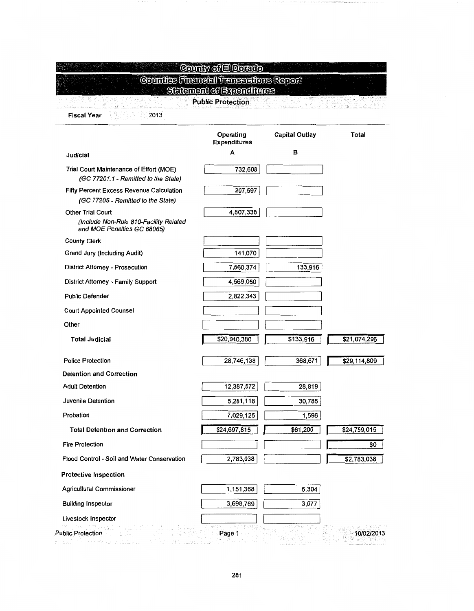|                                                                                                   | Counties Financial Transcotions Report<br><b>Setement of Expenditures</b><br><b>Public Protection</b> |                       |              |
|---------------------------------------------------------------------------------------------------|-------------------------------------------------------------------------------------------------------|-----------------------|--------------|
| <b>Fiscal Year</b><br>2013                                                                        |                                                                                                       |                       |              |
|                                                                                                   | Operating<br><b>Expenditures</b>                                                                      | <b>Capital Outlay</b> | Total        |
| Judicial                                                                                          | А                                                                                                     | в                     |              |
| Trial Court Maintenance of Effort (MOE)<br>(GC 77201.1 - Remitted to the State)                   | 732,608                                                                                               |                       |              |
| Fifty Percent Excess Revenue Calculation<br>(GC 77205 - Remitted to the State)                    | 207,597                                                                                               |                       |              |
| <b>Other Trial Court</b><br>(Include Non-Rule 810-Facility Related<br>and MOE Penalties GC 68065) | 4,807,338                                                                                             |                       |              |
| <b>County Clerk</b>                                                                               |                                                                                                       |                       |              |
| Grand Jury (Including Audit)                                                                      | 141,070                                                                                               |                       |              |
| <b>District Attorney - Prosecution</b>                                                            | 7,660,374                                                                                             | 133,916               |              |
| District Attorney - Family Support                                                                | 4,569,050                                                                                             |                       |              |
| <b>Public Defender</b>                                                                            | 2,822,343                                                                                             |                       |              |
| <b>Court Appointed Counsel</b>                                                                    |                                                                                                       |                       |              |
| Other                                                                                             |                                                                                                       |                       |              |
| <b>Total Judicial</b>                                                                             | \$20,940,380                                                                                          | \$133,916             | \$21,074,296 |
| <b>Police Protection</b>                                                                          | 28,746,138                                                                                            | 368,671               | \$29,114,809 |
| <b>Detention and Correction</b>                                                                   |                                                                                                       |                       |              |
| <b>Adult Detention</b>                                                                            | 12,387,572                                                                                            | 28,819                |              |
| Juvenile Detention                                                                                | 5,281,118                                                                                             | 30,785                |              |
| Probation                                                                                         | 7,029,125                                                                                             | 1,596                 |              |
| <b>Total Detention and Correction</b>                                                             | \$24,697,815                                                                                          | \$61,200              | \$24,759,015 |
| <b>Fire Protection</b>                                                                            |                                                                                                       |                       | \$0          |
| Flood Control - Soil and Water Conservation                                                       | 2,783,038                                                                                             |                       | \$2,783,038  |
| <b>Protective Inspection</b>                                                                      |                                                                                                       |                       |              |
| Agricultural Commissioner                                                                         | 1,151,368                                                                                             | 5,304                 |              |
| <b>Building Inspector</b>                                                                         | 3,698,769                                                                                             | 3,077                 |              |
| Livestock Inspector                                                                               |                                                                                                       |                       |              |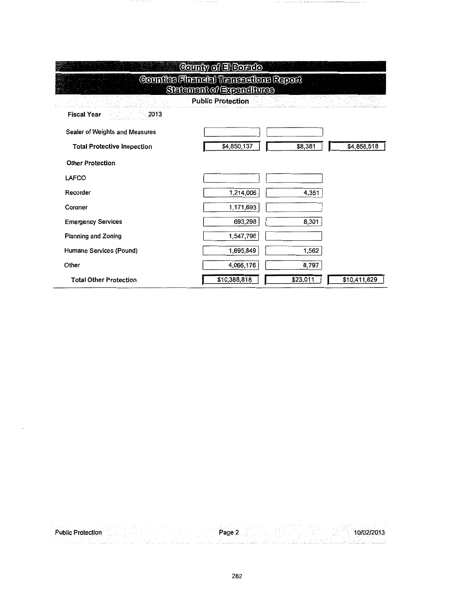| County of El Dorado                                                       |              |          |              |  |  |  |  |  |  |
|---------------------------------------------------------------------------|--------------|----------|--------------|--|--|--|--|--|--|
| <b>Counties Financial Transcotions Report</b><br>Setement of Expenditures |              |          |              |  |  |  |  |  |  |
| <b>Public Protection</b><br>Geography.                                    |              |          |              |  |  |  |  |  |  |
| <b>2013</b><br><b>Fiscal Year</b>                                         |              |          |              |  |  |  |  |  |  |
| Sealer of Weights and Measures                                            |              |          |              |  |  |  |  |  |  |
| <b>Total Protective Inspection</b>                                        | \$4,850,137  | \$8,381  | \$4,858,518  |  |  |  |  |  |  |
| <b>Other Protection</b>                                                   |              |          |              |  |  |  |  |  |  |
| LAFCO                                                                     |              |          |              |  |  |  |  |  |  |
| Recorder                                                                  | 1,214,006    | 4,351    |              |  |  |  |  |  |  |
| Coroner                                                                   | 1,171,693    |          |              |  |  |  |  |  |  |
| <b>Emergency Services</b>                                                 | 693,298      | 8,301    |              |  |  |  |  |  |  |
| <b>Planning and Zoning</b>                                                | 1,547,796    |          |              |  |  |  |  |  |  |
| Humane Services (Pound)                                                   | 1,695,849    | 1,562    |              |  |  |  |  |  |  |
| Other                                                                     | 4,066,176    | 8,797    |              |  |  |  |  |  |  |
| <b>Total Other Protection</b>                                             | \$10,388,818 | \$23,011 | \$10,411,829 |  |  |  |  |  |  |

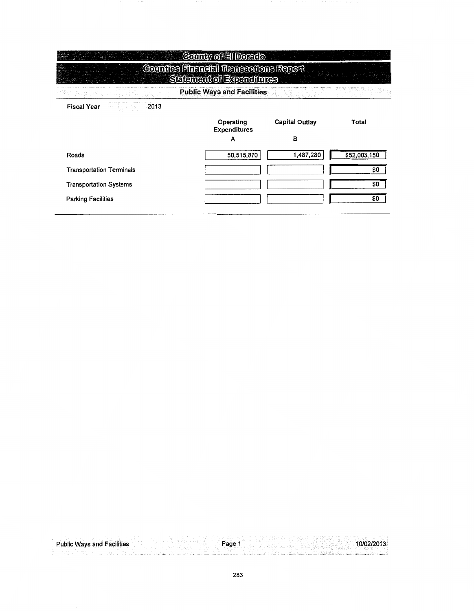|                                 | County of El Dorado                                                       |                       |              |
|---------------------------------|---------------------------------------------------------------------------|-----------------------|--------------|
|                                 | <b>Counties Financial Transactions Report</b><br>Satement of Expenditures |                       |              |
|                                 | <b>Public Ways and Facilities</b>                                         |                       |              |
| <b>Fiscal Year</b><br>2013      |                                                                           |                       |              |
|                                 | Operating<br>Expenditures                                                 | <b>Capital Outlay</b> | Total        |
|                                 | A                                                                         | B                     |              |
| Roads                           | 50,515,870                                                                | 1,487,280             | \$52,003,150 |
| <b>Transportation Terminals</b> |                                                                           |                       | \$0          |
| <b>Transportation Systems</b>   |                                                                           |                       | \$0          |
| <b>Parking Facilities</b>       |                                                                           |                       | \$0          |
|                                 |                                                                           |                       |              |

| <b>Public Ways and Facilities</b> | Page | . כו ט |
|-----------------------------------|------|--------|
|                                   |      |        |
|                                   |      |        |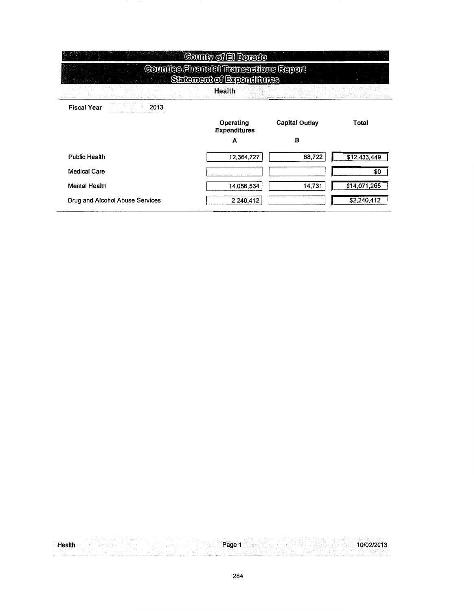|                                 | County of El Dorado                                               |                       |              |
|---------------------------------|-------------------------------------------------------------------|-----------------------|--------------|
|                                 | Countes Financial Transactions Report<br>Satement of Expenditures |                       |              |
|                                 | Health                                                            |                       |              |
| <b>Fiscal Year</b><br>2013      |                                                                   |                       |              |
|                                 | Operating<br><b>Expenditures</b>                                  | <b>Capital Outlay</b> | Total        |
|                                 | A                                                                 | в                     |              |
| <b>Public Health</b>            | 12,364,727                                                        | 68,722                | \$12,433,449 |
| <b>Medical Care</b>             |                                                                   |                       | \$0          |
| <b>Mental Health</b>            | 14.056,534                                                        | 14,731                | \$14,071,265 |
| Drug and Alcohol Abuse Services | 2,240,412                                                         |                       | \$2,240,412  |

|  | $ -$ | - 400 정치의 1200 원 시 시 전 전기 전기 1990 MB<br>그 작품 바람에 한 후 시간 수 있는 것 같아. |
|--|------|--------------------------------------------------------------------|
|  |      |                                                                    |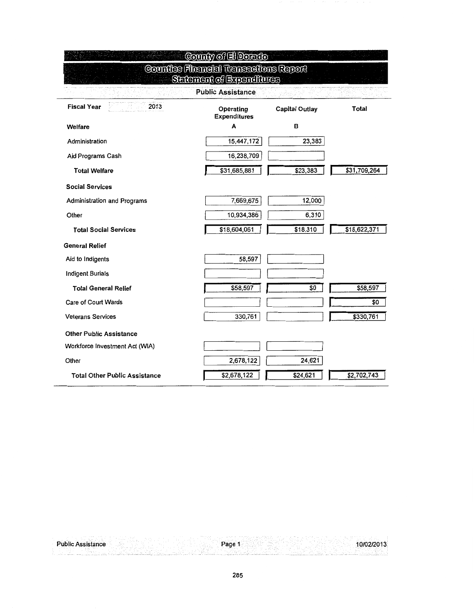| County of El Dorato                  |                                               |                       |              |  |  |  |
|--------------------------------------|-----------------------------------------------|-----------------------|--------------|--|--|--|
|                                      | <b>Counties Financial Transactions Report</b> |                       |              |  |  |  |
|                                      | <b>Setement of Expenditures</b>               |                       |              |  |  |  |
|                                      | <b>Public Assistance</b>                      |                       |              |  |  |  |
| 2013<br><b>Fiscal Year</b>           | Operating<br><b>Expenditures</b>              | <b>Capital Outlay</b> | Total        |  |  |  |
| Welfare                              | A                                             | В                     |              |  |  |  |
| Administration                       | 15,447,172                                    | 23,383                |              |  |  |  |
| Aid Programs Cash                    | 16,238,709                                    |                       |              |  |  |  |
| <b>Total Welfare</b>                 | \$31,685,881                                  | \$23,383              | \$31,709,264 |  |  |  |
| <b>Social Services</b>               |                                               |                       |              |  |  |  |
| <b>Administration and Programs</b>   | 7,669,675                                     | 12,000                |              |  |  |  |
| Other                                | 10,934,386                                    | 6,310                 |              |  |  |  |
| <b>Total Social Services</b>         | \$18,604,061                                  | \$18,310              | \$18,622,371 |  |  |  |
| General Relief                       |                                               |                       |              |  |  |  |
| Aid to Indigents                     | 58,597                                        |                       |              |  |  |  |
| <b>Indigent Burials</b>              |                                               |                       |              |  |  |  |
| <b>Total General Relief</b>          | \$58,597                                      | \$0                   | \$58,597     |  |  |  |
| Care of Court Wards                  |                                               |                       | \$0          |  |  |  |
| <b>Veterans Services</b>             | 330,761                                       |                       | \$330,761    |  |  |  |
| <b>Other Public Assistance</b>       |                                               |                       |              |  |  |  |
| Workforce Investment Act (WIA)       |                                               |                       |              |  |  |  |
| Other                                | 2,678,122                                     | 24,621                |              |  |  |  |
| <b>Total Other Public Assistance</b> | \$2,678,122                                   | \$24,621              | \$2,702,743  |  |  |  |

 $\overline{a}$ 

Page 1 10/02/2013 **Public Assistance**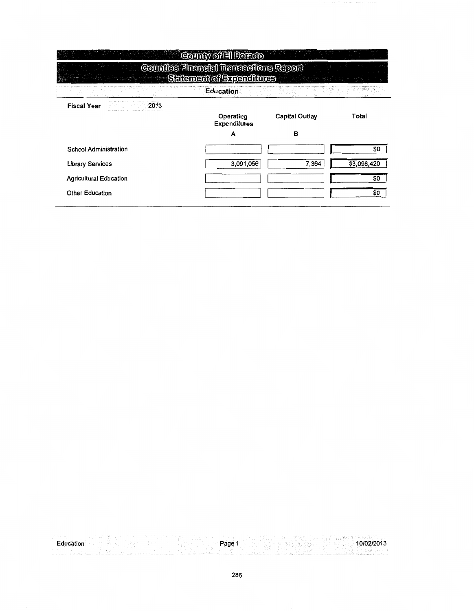|                               | County of El Dorado                                                |                       |             |
|-------------------------------|--------------------------------------------------------------------|-----------------------|-------------|
|                               | Counties Financial Transactions Report<br>Setement of Expenditures |                       |             |
|                               | <b>Education</b>                                                   |                       |             |
| <b>Fiscal Year</b><br>2013    | Operating<br><b>Expenditures</b>                                   | <b>Capital Outlay</b> | Total       |
|                               | A                                                                  | в                     |             |
| <b>School Administration</b>  |                                                                    |                       | \$0         |
| <b>Library Services</b>       | 3,091,056                                                          | 7,364                 | \$3,098,420 |
| <b>Agricultural Education</b> |                                                                    |                       | \$0         |
| <b>Other Education</b>        |                                                                    |                       | \$0         |

 $10/02/2013$ Education **Property of the Contract of Security Association** Page 1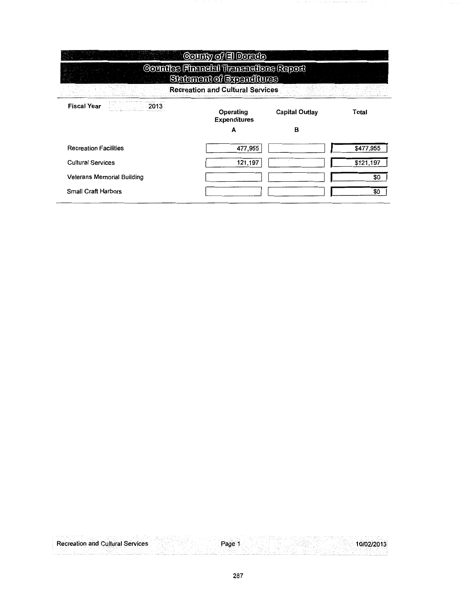|                              | County of El Dorado                                                       |                       |           |
|------------------------------|---------------------------------------------------------------------------|-----------------------|-----------|
|                              | <b>Counties Financial Transactions Report</b><br>Setement of Expenditures |                       |           |
|                              | <b>Recreation and Cultural Services</b>                                   |                       |           |
| <b>Fiscal Year</b><br>- 2013 | Operating<br><b>Expenditures</b>                                          | <b>Capital Outlay</b> | Total     |
|                              | А                                                                         | в                     |           |
| <b>Recreation Facilities</b> | 477,955                                                                   |                       | \$477,955 |
| <b>Cultural Services</b>     | 121,197                                                                   |                       | \$121,197 |
| Veterans Memorial Building   |                                                                           |                       | \$O       |
| <b>Small Craft Harbors</b>   |                                                                           |                       | \$0       |
|                              |                                                                           |                       |           |

 $\cdots$ 

| <b>Recreation and Cultural Services</b> | Page | 10/02/2013 |
|-----------------------------------------|------|------------|
|                                         |      |            |
|                                         |      |            |
|                                         |      |            |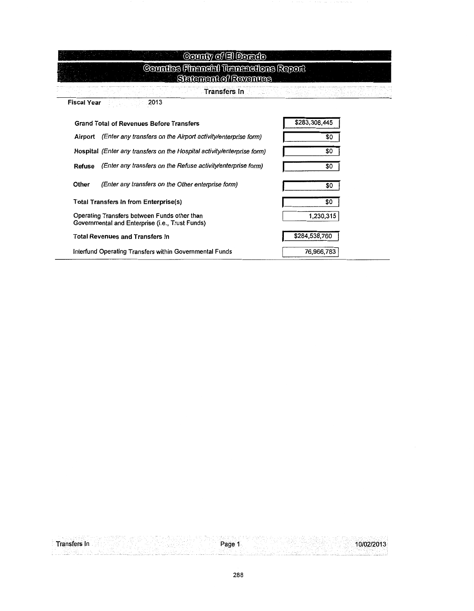| County of El Dorado                                                                             |               |
|-------------------------------------------------------------------------------------------------|---------------|
| Counties Financial Transactions Report<br>Statement of Revenues                                 |               |
| <b>Transfers In</b>                                                                             |               |
| 2013<br><b>Fiscal Year</b>                                                                      |               |
| <b>Grand Total of Revenues Before Transfers</b>                                                 | \$283,308,445 |
| Airport (Enter any transfers on the Airport activity/enterprise form)                           | \$0           |
| Hospital (Enter any transfers on the Hospital activity/enterprise form)                         | \$0           |
| (Enter any transfers on the Refuse activity/enterprise form)<br>Refuse                          | \$0           |
| Other<br>(Enter any transfers on the Other enterprise form)                                     | \$0           |
| Total Transfers In from Enterprise(s)                                                           | \$0           |
| Operating Transfers between Funds other than<br>Governmental and Enterprise (i.e., Trust Funds) | 1,230,315     |
| <b>Total Revenues and Transfers In</b>                                                          | \$284,538,760 |
| Interfund Operating Transfers within Governmental Funds                                         | 76,966,783    |

 $\overline{a}$ 

|  |      |   |  |  | <b>ARR 2012 - Ave. 1. 10</b> |  |                   |  |  |   |  |  |  |  |     |                             |               |   |          |  |   |          |  |  |
|--|------|---|--|--|------------------------------|--|-------------------|--|--|---|--|--|--|--|-----|-----------------------------|---------------|---|----------|--|---|----------|--|--|
|  |      |   |  |  |                              |  |                   |  |  |   |  |  |  |  |     |                             | .             | . |          |  |   |          |  |  |
|  |      |   |  |  | <b>A . M. A.</b>             |  |                   |  |  |   |  |  |  |  |     | <b><i><u>Part 2</u></i></b> |               |   |          |  | . | 1.1.1.11 |  |  |
|  | $ -$ | . |  |  |                              |  | <b>CONTRACTOR</b> |  |  | . |  |  |  |  | . . |                             | $\sim$ $\sim$ |   |          |  |   |          |  |  |
|  |      |   |  |  |                              |  |                   |  |  |   |  |  |  |  |     |                             |               |   | ALC: YES |  |   |          |  |  |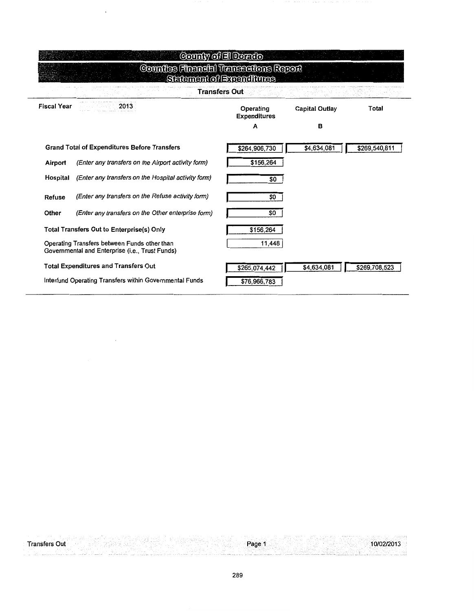|                    |                                                                                                 | County of El Dorado              |                       |               |
|--------------------|-------------------------------------------------------------------------------------------------|----------------------------------|-----------------------|---------------|
|                    | <b>Counties Financial Transcotions Report</b>                                                   | Setement of Expenditures         |                       |               |
|                    |                                                                                                 | <b>Transfers Out</b>             |                       |               |
| <b>Fiscal Year</b> | 2013                                                                                            | Operating<br><b>Expenditures</b> | <b>Capital Outlay</b> | Total         |
|                    |                                                                                                 | Α                                | в                     |               |
|                    | <b>Grand Total of Expenditures Before Transfers</b>                                             | \$264,906,730                    | \$4,634,081           | \$269,540,811 |
| Airport            | (Enter any transfers on the Airport activity form)                                              | \$156,264                        |                       |               |
| Hospital           | (Enter any transfers on the Hospital activity form)                                             | \$0                              |                       |               |
| Refuse             | (Enter any transfers on the Refuse activity form)                                               | \$0                              |                       |               |
| Other              | (Enter any transfers on the Other enterprise form)                                              | \$0                              |                       |               |
|                    | <b>Total Transfers Out to Enterprise(s) Only</b>                                                | \$156,264                        |                       |               |
|                    | Operating Transfers between Funds other than<br>Governmental and Enterprise (i.e., Trust Funds) | 11,448                           |                       |               |
|                    | <b>Total Expenditures and Transfers Out</b>                                                     | \$265,074,442                    | \$4,634,081           | \$269,708,523 |
|                    | Interfund Operating Transfers within Governmental Funds                                         | \$76,966,783                     |                       |               |

가장님의 !!

Page 1

10/02/2013

Transfers Out

 $\bar{z}$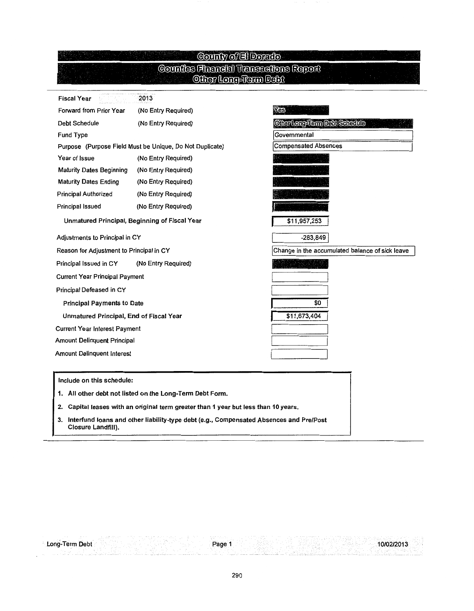# <u>©ounty of El Dorado)</u><br>©ounties Financial Transactions Report<br>©ther Long-Term Debt

| <b>Fiscal Year</b>                            | 2013                                                     |                                                 |
|-----------------------------------------------|----------------------------------------------------------|-------------------------------------------------|
| Forward from Prior Year                       | (No Entry Required)                                      | Yes                                             |
| <b>Debt Schedule</b>                          | (No Entry Required)                                      | Other Long-Term Debt Schedule                   |
| <b>Fund Type</b>                              |                                                          | Governmental                                    |
|                                               | Purpose (Purpose Field Must be Unique, Do Not Duplicate) | <b>Compensated Absences</b>                     |
| Year of Issue                                 | (No Entry Required)                                      |                                                 |
| <b>Maturity Dates Beginning</b>               | (No Entry Required)                                      |                                                 |
| <b>Maturity Dates Ending</b>                  | (No Entry Required)                                      |                                                 |
| <b>Principal Authorized</b>                   | (No Entry Required)                                      |                                                 |
| Principal Issued                              | (No Entry Required)                                      |                                                 |
| Unmatured Principal, Beginning of Fiscal Year |                                                          | \$11,957,253                                    |
| Adjustments to Principal in CY                |                                                          | $-283,849$                                      |
| Reason for Adjustment to Principal in CY      |                                                          | Change in the accumulated balance of sick leave |
| Principal Issued in CY                        | (No Entry Required)                                      |                                                 |
| <b>Current Year Principal Payment</b>         |                                                          |                                                 |
| Principal Defeased in CY                      |                                                          |                                                 |
| <b>Principal Payments to Date</b>             |                                                          | \$0                                             |
| Unmatured Principal, End of Fiscal Year       |                                                          | \$11,673,404                                    |
| <b>Current Year Interest Payment</b>          |                                                          |                                                 |
| <b>Amount Delinquent Principal</b>            |                                                          |                                                 |
| <b>Amount Delinquent Interest</b>             |                                                          |                                                 |

Include on this schedule:

Long-Term Debt

- 1. All other debt not listed on the Long-Term Debt Form.
- 2. Capital leases with an original term greater than 1 year but less than 10 years.
- 3. lnterfund loans and other liability-type debt (e.g., Compensated Absences and Pre/Post Closure Landfill).

10/02/2013 ;::':· .·· ........... , .. ;.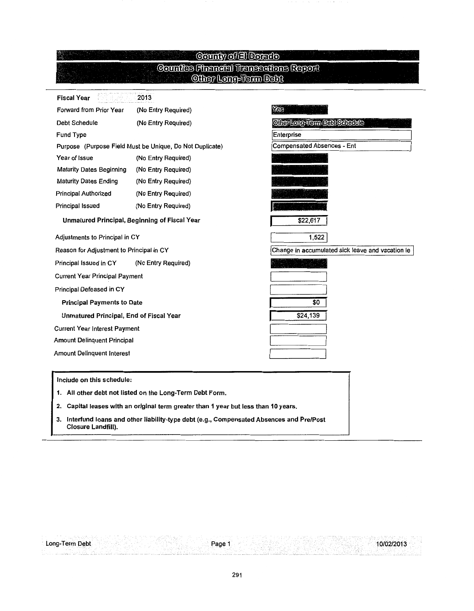### **County of El Dorado Counties Financial Transactions Report**<br>Clier Long-Term Debt

| <b>Fiscal Year</b>                            | 2013                                                     |                                                  |
|-----------------------------------------------|----------------------------------------------------------|--------------------------------------------------|
| Forward from Prior Year                       | (No Entry Required)                                      | Yes                                              |
| <b>Debt Schedule</b>                          | (No Entry Required)                                      | <b>OlierLore-Term Debt Schedule</b>              |
| Fund Type                                     |                                                          | Enterprise                                       |
|                                               | Purpose (Purpose Field Must be Unique, Do Not Duplicate) | Compensated Absences - Ent                       |
| Year of Issue                                 | (No Entry Required)                                      |                                                  |
| <b>Maturity Dates Beginning</b>               | (No Entry Required)                                      |                                                  |
| <b>Maturity Dates Ending</b>                  | (No Entry Required)                                      |                                                  |
| <b>Principal Authorized</b>                   | (No Entry Required)                                      |                                                  |
| Principal Issued                              | (No Entry Required)                                      |                                                  |
| Unmatured Principal, Beginning of Fiscal Year |                                                          | \$22,617                                         |
| Adjustments to Principal in CY                |                                                          | 1,522                                            |
| Reason for Adjustment to Principal in CY      |                                                          | Change in accumulated sick leave and vacation le |
| Principal Issued in CY                        | (No Entry Required)                                      |                                                  |
| <b>Current Year Principal Payment</b>         |                                                          |                                                  |
| Principal Defeased in CY                      |                                                          |                                                  |
| <b>Principal Payments to Date</b>             |                                                          | \$0                                              |
| Unmatured Principal, End of Fiscal Year       |                                                          | \$24,139                                         |
| <b>Current Year Interest Payment</b>          |                                                          |                                                  |
| <b>Amount Delinquent Principal</b>            |                                                          |                                                  |
| <b>Amount Delinquent Interest</b>             |                                                          |                                                  |

Include on this schedule:

Long-Term Debt

1. All other debt not listed on the Long-Term Debt Form.

2. Capital leases with an original term greater than 1 year but less than 10 years.

3. lnterfund loans and other liability-type debt (e.g., Compensated Absences and Pre/Post Closure Landfill).

10/02/2013

Page 1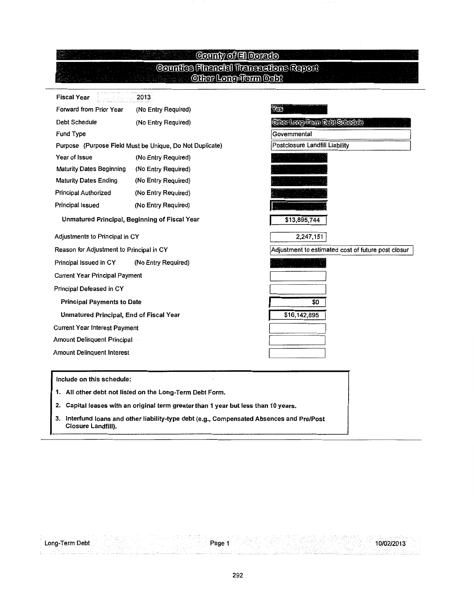#### County of El Dorato **Counties Financial Transactions Report Other Long-Term Debt** Fiscal Year 2013 Forward from Prior Year (No Entry Required) Yes Debt Schedule (No Entry Required) Other Long-Tram Dahl Schedula Fund Type /Governmental Purpose (Purpose Field Must be Unique, Do Not Duplicate) Postclosure Landfill Liability Year of Issue **(No Entry Required)** Maturity Dates Beginning (No Entry Required) Maturity Dates Ending (No Entry Required) Principal Authorized (No Entry Required) Principal Issued (No Entry Required) Unmatured Principal, Beginning of Fiscal Year \$13,895,744 1 Adjustments to Principal in CY 2,247,151/ Reason for Adjustment to Principal in CY Adjustment to estimated cost of future post closur Principal Issued in CY (No Entry Required) Current Year Principal Payment Principal Defeased in CY Principal Payments to Date  $\overline{50}$

\$16,142,895

10/02/2013

Unmatured Principal, End of Fiscal Year

Current Year Interest Payment

Amount Delinquent Principal

Amount Delinquent Interest

#### Include on this schedule:

1. All other debt not listed on the Long-Term Debt Form.

2. Capital leases with an original term greater than 1 year but less than 10 years.

3. lnterfund loans and other liability-type debt (e.g., Compensated Absences and Pre/Post Closure Landfill).

Page 1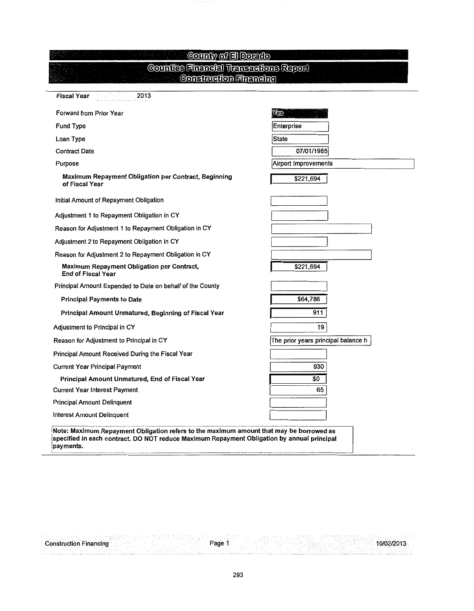| County of El Dorado<br>Counties Financial Transactions Report           |                                     |
|-------------------------------------------------------------------------|-------------------------------------|
| <b>Construction Financing</b>                                           |                                     |
| <b>Fiscal Year</b><br>2013                                              |                                     |
| Forward from Prior Year                                                 | YGB                                 |
| Fund Type                                                               | Enterprise                          |
| Loan Type                                                               | State                               |
| <b>Contract Date</b>                                                    | 07/01/1985                          |
| Purpose                                                                 | Airport Improvements                |
| Maximum Repayment Obligation per Contract, Beginning<br>of Fiscal Year  | \$221,694                           |
| Initial Amount of Repayment Obligation                                  |                                     |
| Adjustment 1 to Repayment Obligation in CY                              |                                     |
| Reason for Adjustment 1 to Repayment Obligation in CY                   |                                     |
| Adjustment 2 to Repayment Obligation in CY                              |                                     |
| Reason for Adjustment 2 to Repayment Obligation in CY                   |                                     |
| Maximum Repayment Obligation per Contract,<br><b>End of Fiscal Year</b> | \$221,694                           |
| Principal Amount Expended to Date on behalf of the County               |                                     |
| <b>Principal Payments to Date</b>                                       | \$64,786                            |
| Principal Amount Unmatured, Beginning of Fiscal Year                    | 911                                 |
| Adjustment to Principal in CY                                           | 19                                  |
| Reason for Adjustment to Principal in CY                                | The prior years principal balance h |
| Principal Amount Received During the Fiscal Year                        |                                     |
| <b>Current Year Principal Payment</b>                                   | 930                                 |
| Principal Amount Unmatured, End of Fiscal Year                          | \$0                                 |
| <b>Current Year Interest Payment</b>                                    | 65                                  |
| <b>Principal Amount Delinquent</b>                                      |                                     |
| Interest Amount Delinquent                                              |                                     |

payments.

Construction Financing

Page 1

10/02/2013